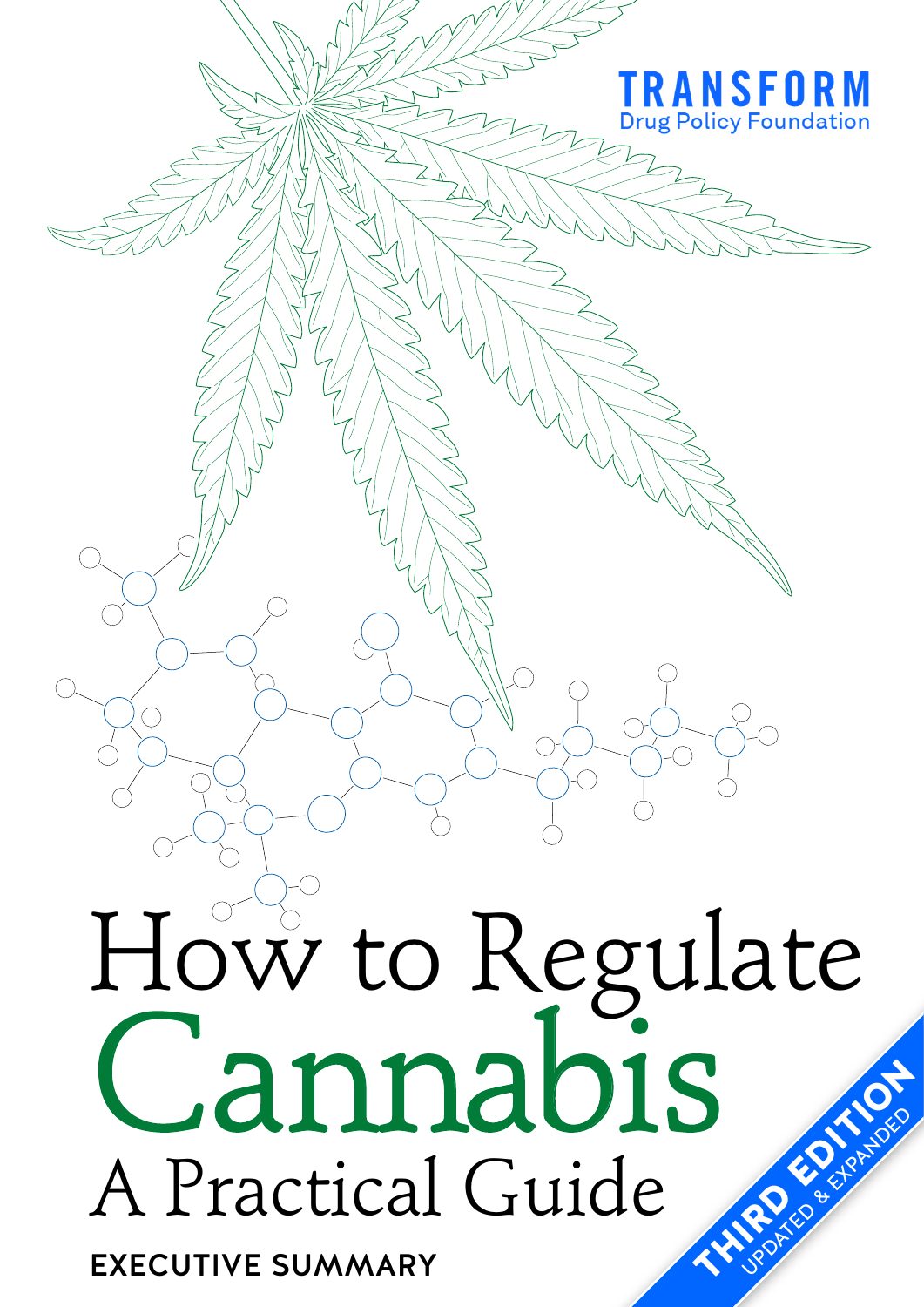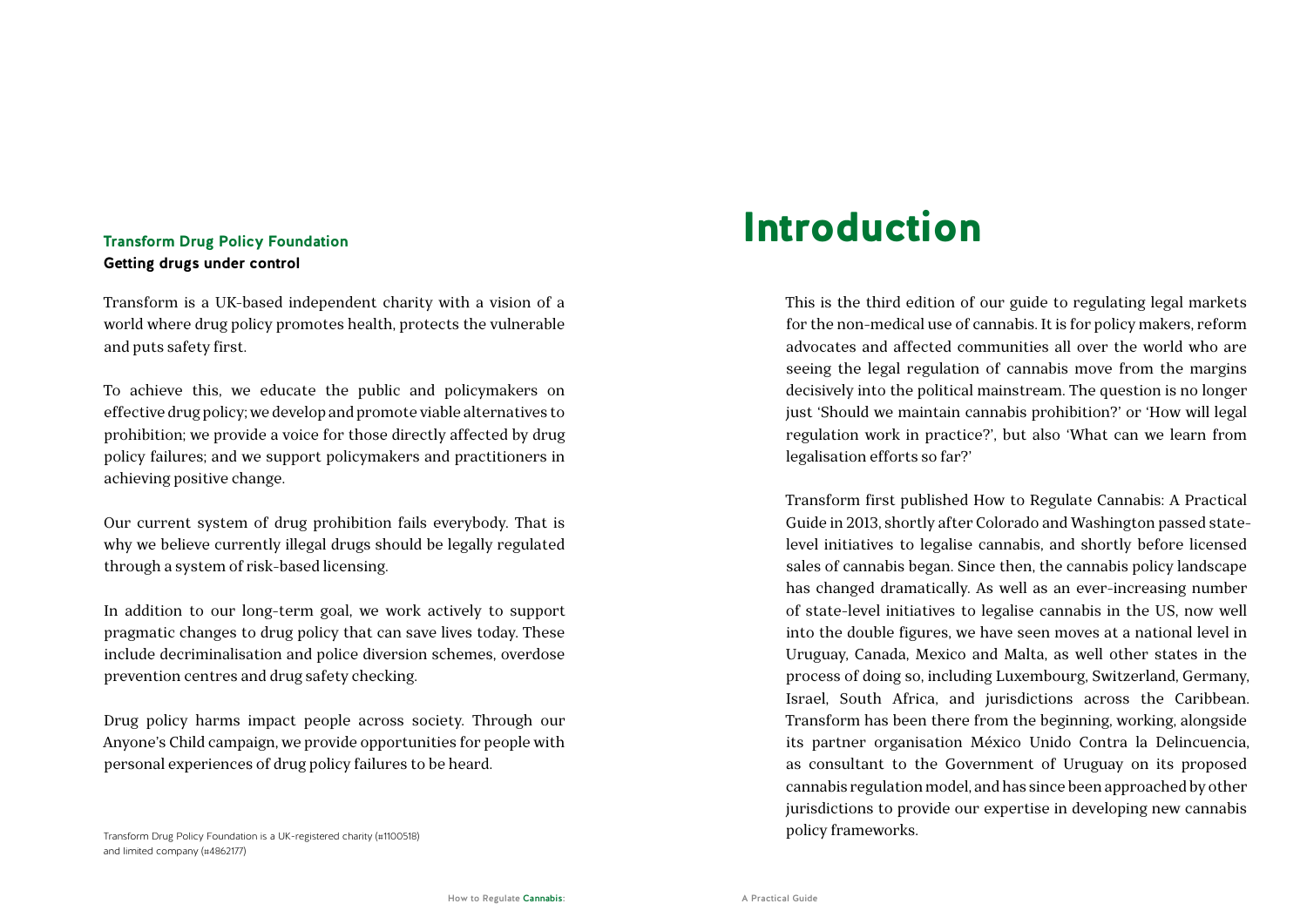#### **Transform Drug Policy Foundation Getting drugs under control**

Transform is a UK-based independent charity with a vision of a world where drug policy promotes health, protects the vulnerable and puts safety first.

To achieve this, we educate the public and policymakers on effective drug policy; we develop and promote viable alternatives to prohibition; we provide a voice for those directly affected by drug policy failures; and we support policymakers and practitioners in achieving positive change.

Our current system of drug prohibition fails everybody. That is why we believe currently illegal drugs should be legally regulated through a system of risk-based licensing.

In addition to our long-term goal, we work actively to support pragmatic changes to drug policy that can save lives today. These include decriminalisation and police diversion schemes, overdose prevention centres and drug safety checking.

Drug policy harms impact people across society. Through our Anyone's Child campaign, we provide opportunities for people with personal experiences of drug policy failures to be heard.

#### Transform Drug Policy Foundation is a UK-registered charity (#1100518) and limited company (#4862177)

## Introduction

This is the third edition of our guide to regulating legal markets for the non-medical use of cannabis. It is for policy makers, reform advocates and affected communities all over the world who are seeing the legal regulation of cannabis move from the margins decisively into the political mainstream. The question is no longer just 'Should we maintain cannabis prohibition?' or 'How will legal regulation work in practice?', but also 'What can we learn from legalisation efforts so far?'

Transform first published How to Regulate Cannabis: A Practical Guide in 2013, shortly after Colorado and Washington passed statelevel initiatives to legalise cannabis, and shortly before licensed sales of cannabis began. Since then, the cannabis policy landscape has changed dramatically. As well as an ever-increasing number of state-level initiatives to legalise cannabis in the US, now well into the double figures, we have seen moves at a national level in Uruguay, Canada, Mexico and Malta, as well other states in the process of doing so, including Luxembourg, Switzerland, Germany, Israel, South Africa, and jurisdictions across the Caribbean. Transform has been there from the beginning, working, alongside its partner organisation México Unido Contra la Delincuencia, as consultant to the Government of Uruguay on its proposed cannabis regulation model, and has since been approached by other jurisdictions to provide our expertise in developing new cannabis policy frameworks.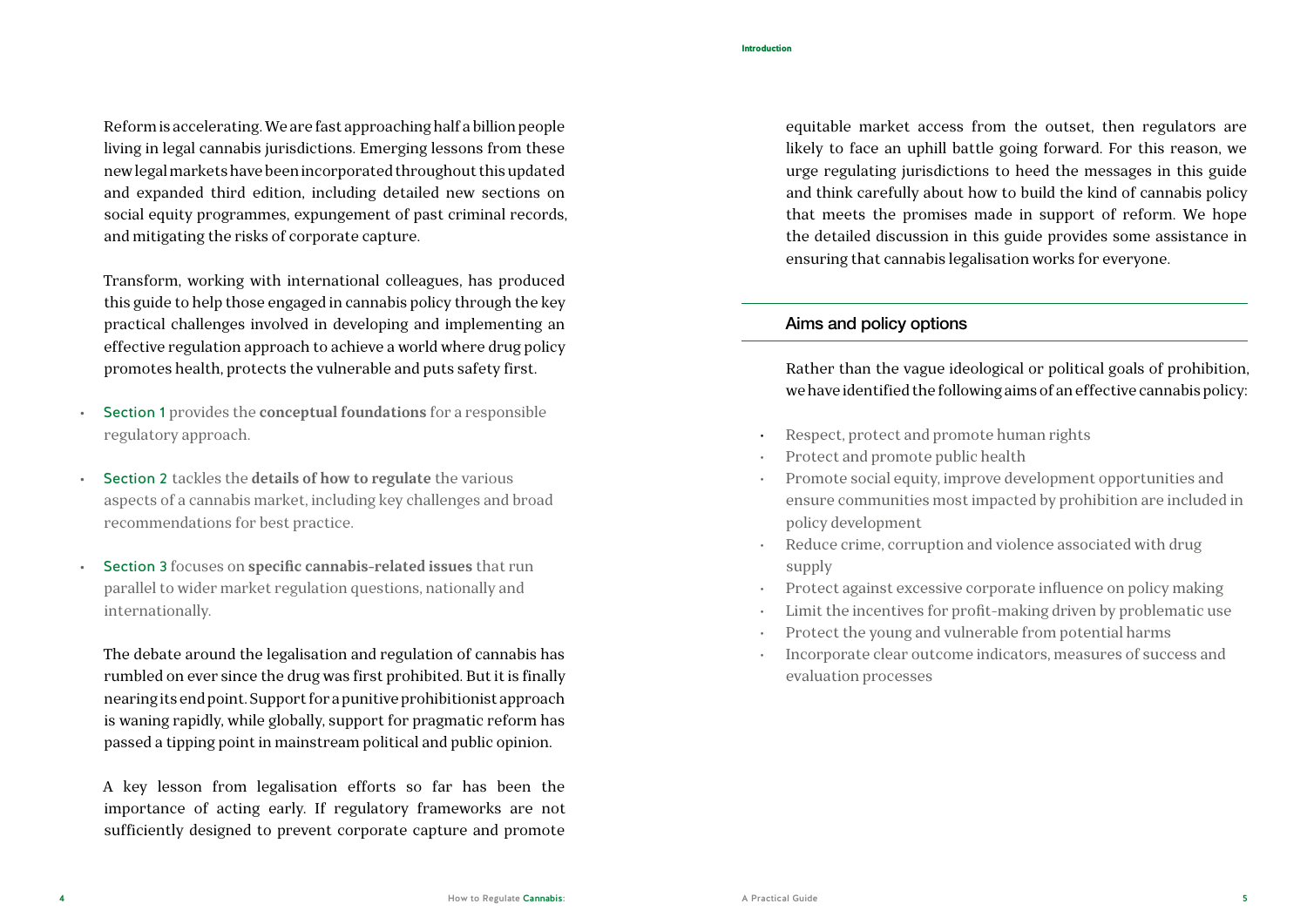Reform is accelerating. We are fast approaching half a billion people living in legal cannabis jurisdictions. Emerging lessons from these new legal markets have been incorporated throughout this updated and expanded third edition, including detailed new sections on social equity programmes, expungement of past criminal records, and mitigating the risks of corporate capture.

Transform, working with international colleagues, has produced this guide to help those engaged in cannabis policy through the key practical challenges involved in developing and implementing an effective regulation approach to achieve a world where drug policy promotes health, protects the vulnerable and puts safety first.

- Section 1 provides the **conceptual foundations** for a responsible regulatory approach.
- Section 2 tackles the **details of how to regulate** the various aspects of a cannabis market, including key challenges and broad recommendations for best practice.
- Section 3 focuses on **specific cannabis-related issues** that run parallel to wider market regulation questions, nationally and internationally.

The debate around the legalisation and regulation of cannabis has rumbled on ever since the drug was first prohibited. But it is finally nearing its end point. Support for a punitive prohibitionist approach is waning rapidly, while globally, support for pragmatic reform has passed a tipping point in mainstream political and public opinion.

A key lesson from legalisation efforts so far has been the importance of acting early. If regulatory frameworks are not sufficiently designed to prevent corporate capture and promote

equitable market access from the outset, then regulators are likely to face an uphill battle going forward. For this reason, we urge regulating jurisdictions to heed the messages in this guide and think carefully about how to build the kind of cannabis policy that meets the promises made in support of reform. We hope the detailed discussion in this guide provides some assistance in ensuring that cannabis legalisation works for everyone.

#### Aims and policy options

Rather than the vague ideological or political goals of prohibition, we have identified the following aims of an effective cannabis policy:

- Respect, protect and promote human rights
- Protect and promote public health
- Promote social equity, improve development opportunities and ensure communities most impacted by prohibition are included in policy development
- Reduce crime, corruption and violence associated with drug supply
- Protect against excessive corporate influence on policy making
- Limit the incentives for profit-making driven by problematic use
- Protect the young and vulnerable from potential harms
- Incorporate clear outcome indicators, measures of success and evaluation processes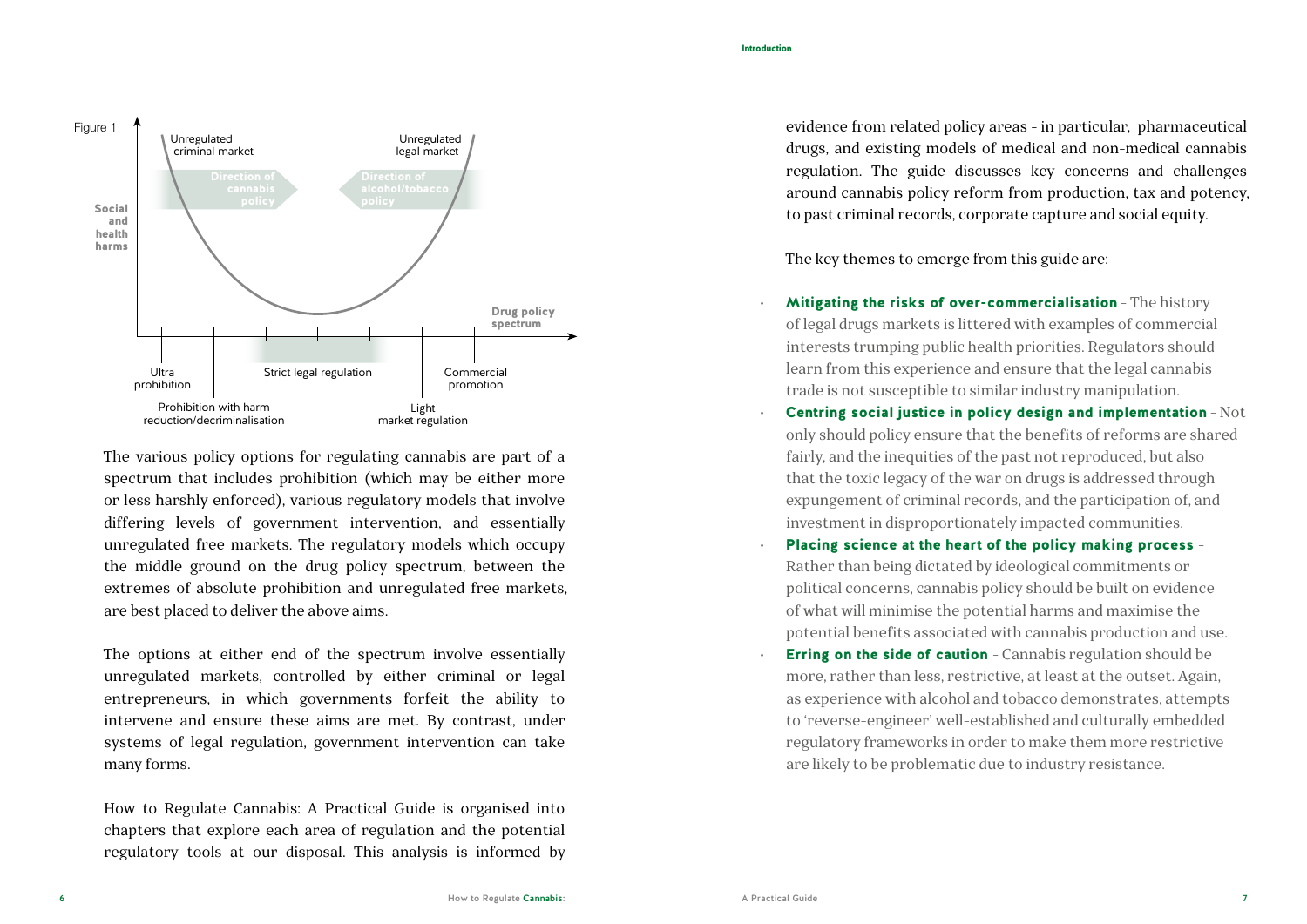

The various policy options for regulating cannabis are part of a spectrum that includes prohibition (which may be either more or less harshly enforced), various regulatory models that involve differing levels of government intervention, and essentially unregulated free markets. The regulatory models which occupy the middle ground on the drug policy spectrum, between the extremes of absolute prohibition and unregulated free markets, are best placed to deliver the above aims.

The options at either end of the spectrum involve essentially unregulated markets, controlled by either criminal or legal entrepreneurs, in which governments forfeit the ability to intervene and ensure these aims are met. By contrast, under systems of legal regulation, government intervention can take many forms.

How to Regulate Cannabis: A Practical Guide is organised into chapters that explore each area of regulation and the potential regulatory tools at our disposal. This analysis is informed by evidence from related policy areas - in particular, pharmaceutical drugs, and existing models of medical and non-medical cannabis regulation. The guide discusses key concerns and challenges around cannabis policy reform from production, tax and potency, to past criminal records, corporate capture and social equity.

The key themes to emerge from this guide are:

- Mitigating the risks of over-commercialisation The history of legal drugs markets is littered with examples of commercial interests trumping public health priorities. Regulators should learn from this experience and ensure that the legal cannabis trade is not susceptible to similar industry manipulation.
- Centring social justice in policy design and implementation Not only should policy ensure that the benefits of reforms are shared fairly, and the inequities of the past not reproduced, but also that the toxic legacy of the war on drugs is addressed through expungement of criminal records, and the participation of, and investment in disproportionately impacted communities.
- Placing science at the heart of the policy making process -Rather than being dictated by ideological commitments or political concerns, cannabis policy should be built on evidence of what will minimise the potential harms and maximise the potential benefits associated with cannabis production and use.
- **Erring on the side of caution** Cannabis regulation should be more, rather than less, restrictive, at least at the outset. Again, as experience with alcohol and tobacco demonstrates, attempts to 'reverse-engineer' well-established and culturally embedded regulatory frameworks in order to make them more restrictive are likely to be problematic due to industry resistance.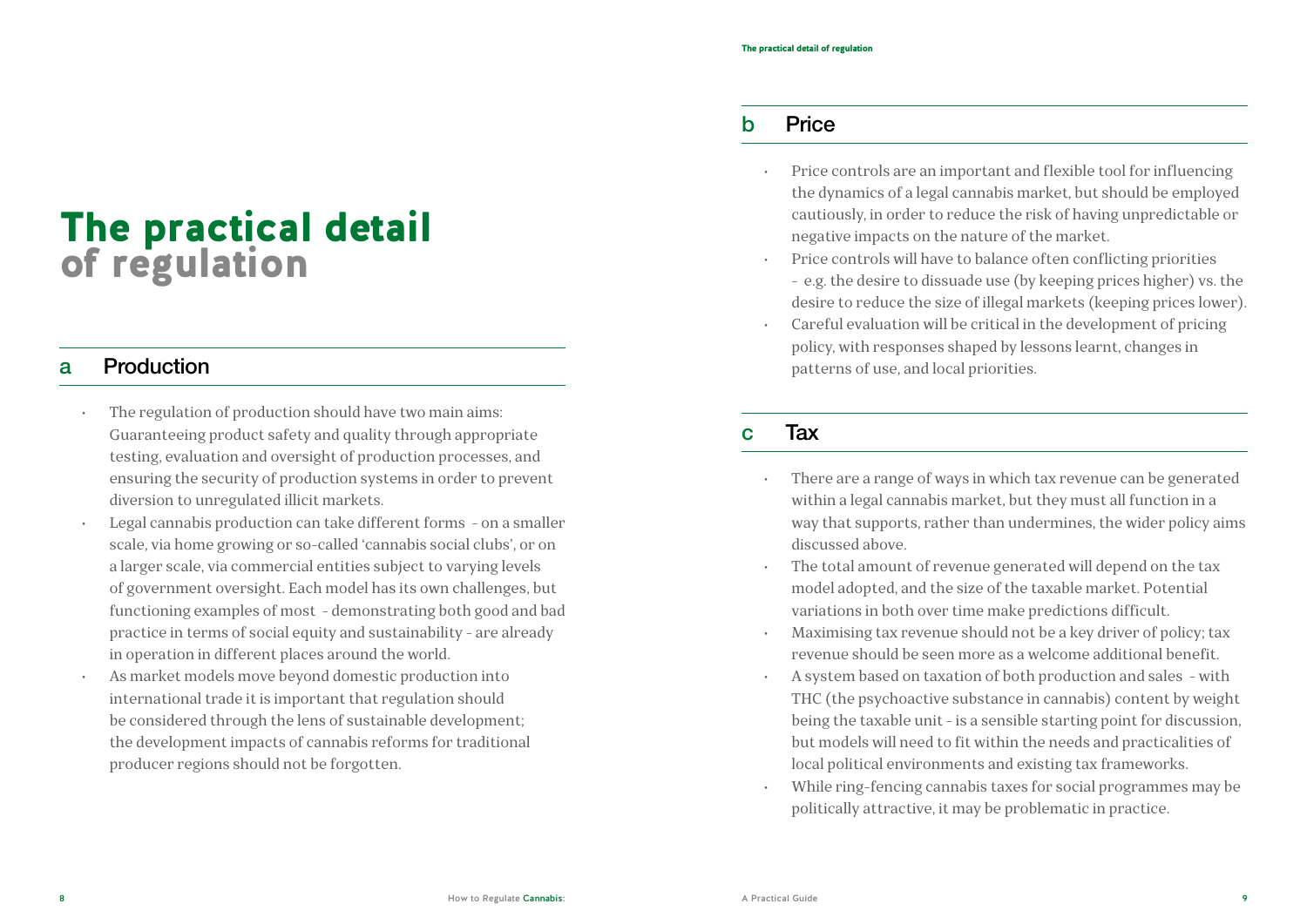## The practical detail of regulation

#### a Production

- The regulation of production should have two main aims: Guaranteeing product safety and quality through appropriate testing, evaluation and oversight of production processes, and ensuring the security of production systems in order to prevent diversion to unregulated illicit markets.
- Legal cannabis production can take different forms on a smaller scale, via home growing or so-called 'cannabis social clubs', or on a larger scale, via commercial entities subject to varying levels of government oversight. Each model has its own challenges, but functioning examples of most - demonstrating both good and bad practice in terms of social equity and sustainability - are already in operation in different places around the world.
- As market models move beyond domestic production into international trade it is important that regulation should be considered through the lens of sustainable development; the development impacts of cannabis reforms for traditional producer regions should not be forgotten.

#### b Price

- Price controls are an important and flexible tool for influencing the dynamics of a legal cannabis market, but should be employed cautiously, in order to reduce the risk of having unpredictable or negative impacts on the nature of the market.
- Price controls will have to balance often conflicting priorities - e.g. the desire to dissuade use (by keeping prices higher) vs. the desire to reduce the size of illegal markets (keeping prices lower).
- Careful evaluation will be critical in the development of pricing policy, with responses shaped by lessons learnt, changes in patterns of use, and local priorities.

#### c Tax

- There are a range of ways in which tax revenue can be generated within a legal cannabis market, but they must all function in a way that supports, rather than undermines, the wider policy aims discussed above.
- The total amount of revenue generated will depend on the tax model adopted, and the size of the taxable market. Potential variations in both over time make predictions difficult.
- Maximising tax revenue should not be a key driver of policy; tax revenue should be seen more as a welcome additional benefit.
- A system based on taxation of both production and sales with THC (the psychoactive substance in cannabis) content by weight being the taxable unit - is a sensible starting point for discussion, but models will need to fit within the needs and practicalities of local political environments and existing tax frameworks.
- While ring-fencing cannabis taxes for social programmes may be politically attractive, it may be problematic in practice.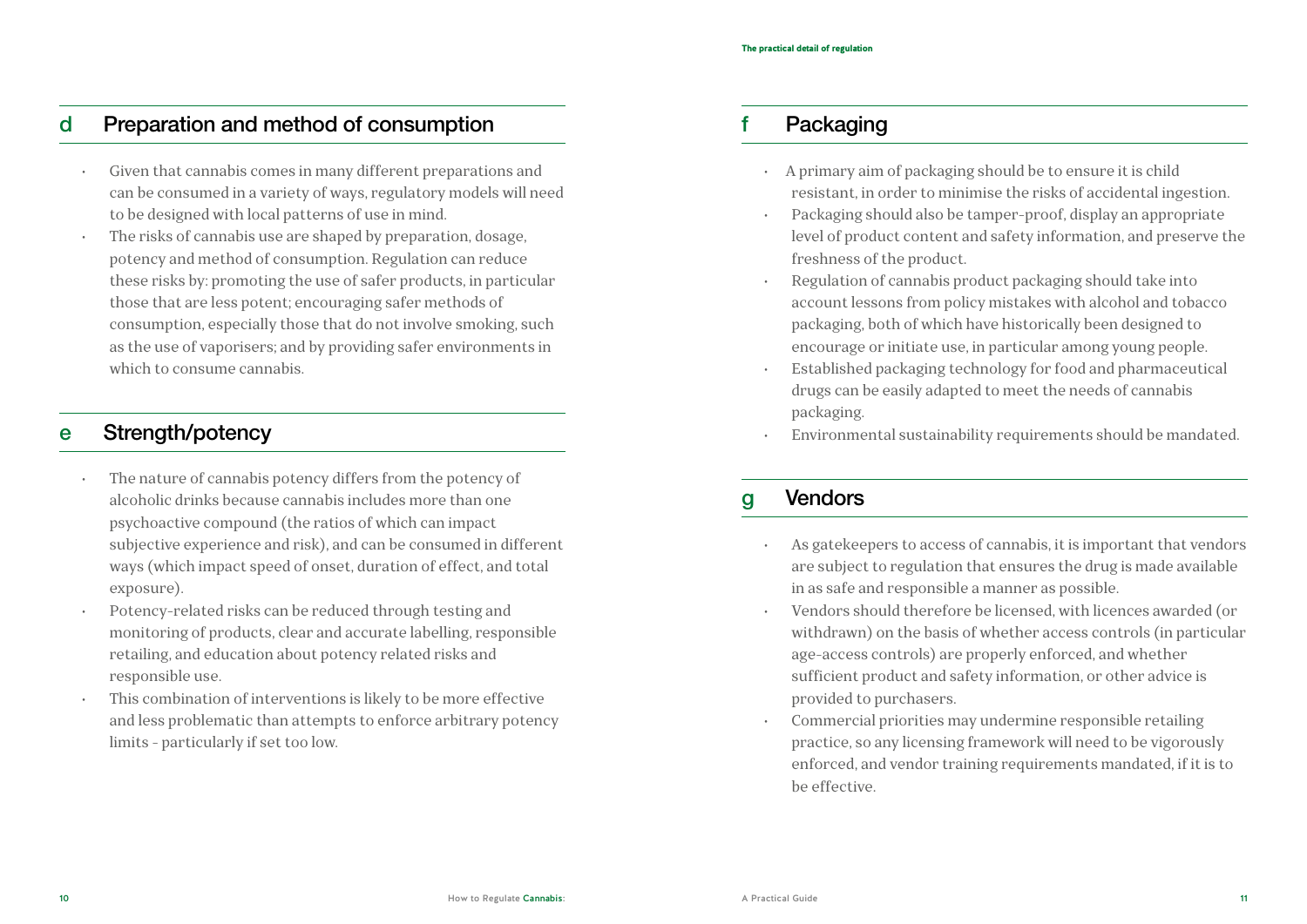#### d Preparation and method of consumption

- Given that cannabis comes in many different preparations and can be consumed in a variety of ways, regulatory models will need to be designed with local patterns of use in mind.
- The risks of cannabis use are shaped by preparation, dosage, potency and method of consumption. Regulation can reduce these risks by: promoting the use of safer products, in particular those that are less potent; encouraging safer methods of consumption, especially those that do not involve smoking, such as the use of vaporisers; and by providing safer environments in which to consume cannabis.

### e Strength/potency

- The nature of cannabis potency differs from the potency of alcoholic drinks because cannabis includes more than one psychoactive compound (the ratios of which can impact subjective experience and risk), and can be consumed in different ways (which impact speed of onset, duration of effect, and total exposure).
- Potency-related risks can be reduced through testing and monitoring of products, clear and accurate labelling, responsible retailing, and education about potency related risks and responsible use.
- This combination of interventions is likely to be more effective and less problematic than attempts to enforce arbitrary potency limits - particularly if set too low.

### Packaging

- A primary aim of packaging should be to ensure it is child resistant, in order to minimise the risks of accidental ingestion.
- Packaging should also be tamper-proof, display an appropriate level of product content and safety information, and preserve the freshness of the product.
- Regulation of cannabis product packaging should take into account lessons from policy mistakes with alcohol and tobacco packaging, both of which have historically been designed to encourage or initiate use, in particular among young people.
- Established packaging technology for food and pharmaceutical drugs can be easily adapted to meet the needs of cannabis packaging.
- Environmental sustainability requirements should be mandated.

### g Vendors

- As gatekeepers to access of cannabis, it is important that vendors are subject to regulation that ensures the drug is made available in as safe and responsible a manner as possible.
- Vendors should therefore be licensed, with licences awarded (or withdrawn) on the basis of whether access controls (in particular age-access controls) are properly enforced, and whether sufficient product and safety information, or other advice is provided to purchasers.
- Commercial priorities may undermine responsible retailing practice, so any licensing framework will need to be vigorously enforced, and vendor training requirements mandated, if it is to be effective.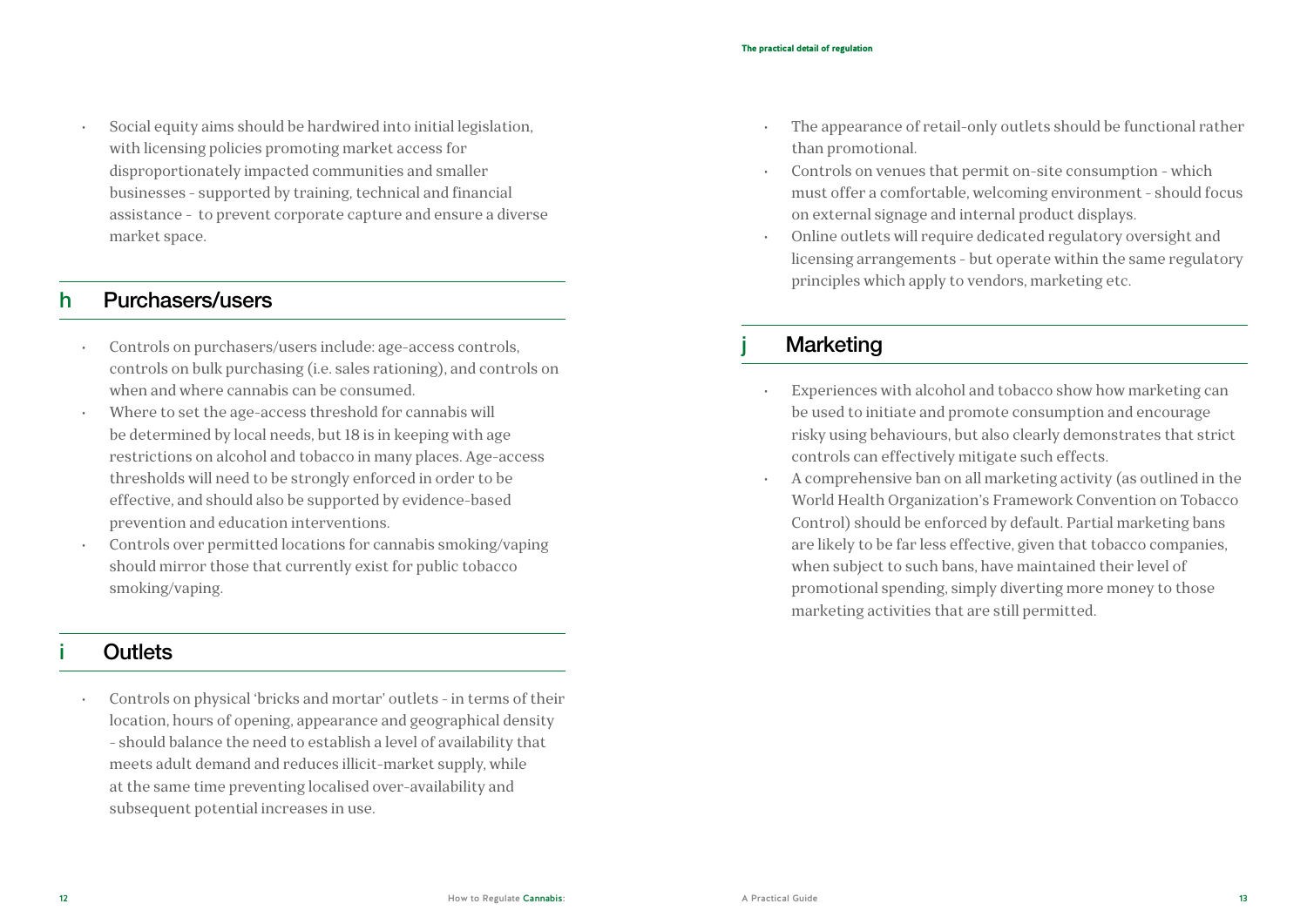• Social equity aims should be hardwired into initial legislation, with licensing policies promoting market access for disproportionately impacted communities and smaller businesses - supported by training, technical and financial assistance - to prevent corporate capture and ensure a diverse market space.

#### h Purchasers/users

- Controls on purchasers/users include: age-access controls, controls on bulk purchasing (i.e. sales rationing), and controls on when and where cannabis can be consumed.
- Where to set the age-access threshold for cannabis will be determined by local needs, but 18 is in keeping with age restrictions on alcohol and tobacco in many places. Age-access thresholds will need to be strongly enforced in order to be effective, and should also be supported by evidence-based prevention and education interventions.
- Controls over permitted locations for cannabis smoking/vaping should mirror those that currently exist for public tobacco smoking/vaping.

#### **Outlets**

• Controls on physical 'bricks and mortar' outlets - in terms of their location, hours of opening, appearance and geographical density - should balance the need to establish a level of availability that meets adult demand and reduces illicit-market supply, while at the same time preventing localised over-availability and subsequent potential increases in use.

- The appearance of retail-only outlets should be functional rather than promotional.
- Controls on venues that permit on-site consumption which must offer a comfortable, welcoming environment - should focus on external signage and internal product displays.
- Online outlets will require dedicated regulatory oversight and licensing arrangements - but operate within the same regulatory principles which apply to vendors, marketing etc.

### Marketing

- Experiences with alcohol and tobacco show how marketing can be used to initiate and promote consumption and encourage risky using behaviours, but also clearly demonstrates that strict controls can effectively mitigate such effects.
- A comprehensive ban on all marketing activity (as outlined in the World Health Organization's Framework Convention on Tobacco Control) should be enforced by default. Partial marketing bans are likely to be far less effective, given that tobacco companies, when subject to such bans, have maintained their level of promotional spending, simply diverting more money to those marketing activities that are still permitted.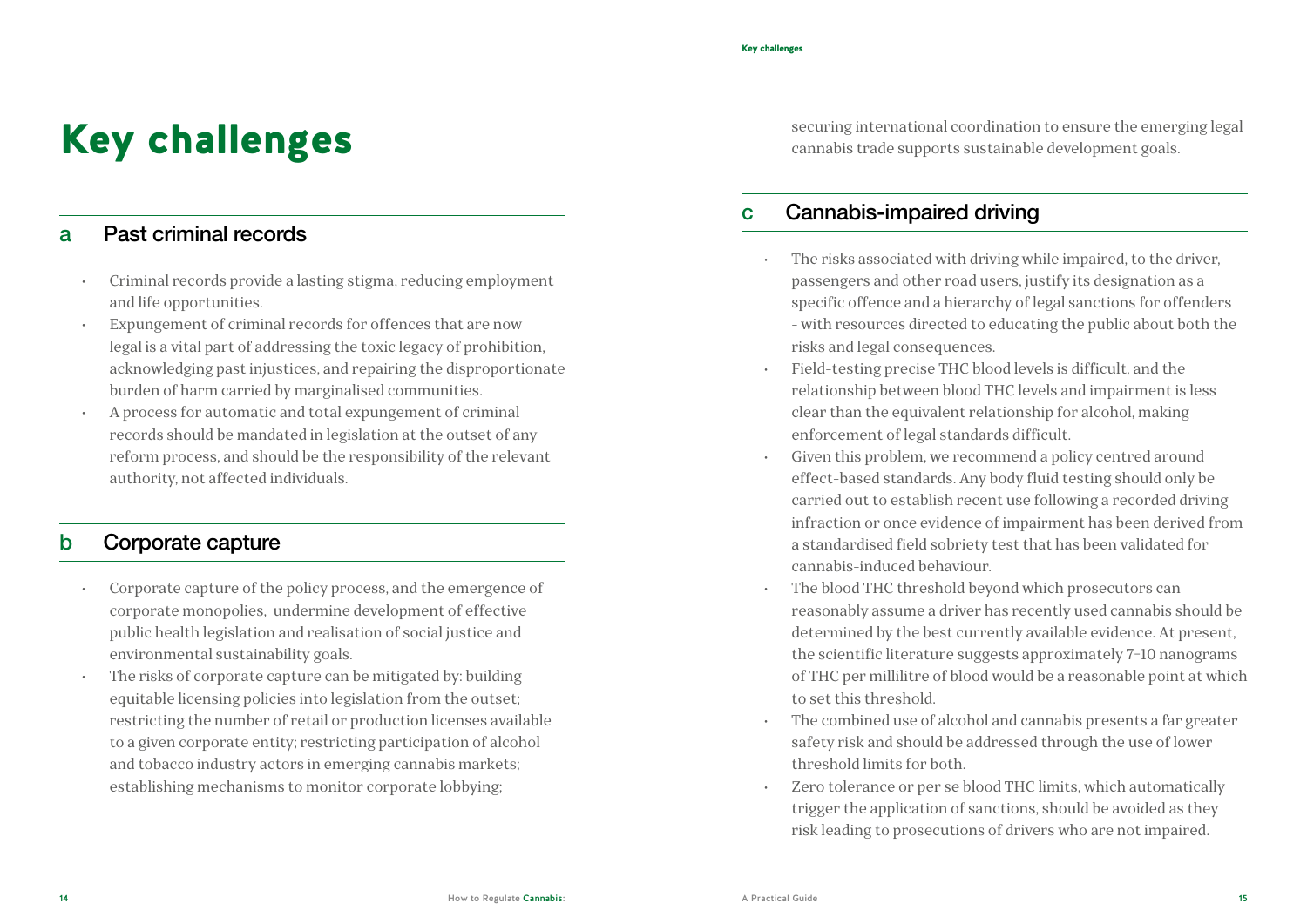# Key challenges

#### a Past criminal records

- Criminal records provide a lasting stigma, reducing employment and life opportunities.
- Expungement of criminal records for offences that are now legal is a vital part of addressing the toxic legacy of prohibition, acknowledging past injustices, and repairing the disproportionate burden of harm carried by marginalised communities.
- A process for automatic and total expungement of criminal records should be mandated in legislation at the outset of any reform process, and should be the responsibility of the relevant authority, not affected individuals.

#### b Corporate capture

- Corporate capture of the policy process, and the emergence of corporate monopolies, undermine development of effective public health legislation and realisation of social justice and environmental sustainability goals.
- The risks of corporate capture can be mitigated by: building equitable licensing policies into legislation from the outset; restricting the number of retail or production licenses available to a given corporate entity; restricting participation of alcohol and tobacco industry actors in emerging cannabis markets; establishing mechanisms to monitor corporate lobbying;

securing international coordination to ensure the emerging legal cannabis trade supports sustainable development goals.

#### c Cannabis-impaired driving

- The risks associated with driving while impaired, to the driver, passengers and other road users, justify its designation as a specific offence and a hierarchy of legal sanctions for offenders - with resources directed to educating the public about both the risks and legal consequences.
- Field-testing precise THC blood levels is difficult, and the relationship between blood THC levels and impairment is less clear than the equivalent relationship for alcohol, making enforcement of legal standards difficult.
- Given this problem, we recommend a policy centred around effect-based standards. Any body fluid testing should only be carried out to establish recent use following a recorded driving infraction or once evidence of impairment has been derived from a standardised field sobriety test that has been validated for cannabis-induced behaviour.
- The blood THC threshold beyond which prosecutors can reasonably assume a driver has recently used cannabis should be determined by the best currently available evidence. At present, the scientific literature suggests approximately 7-10 nanograms of THC per millilitre of blood would be a reasonable point at which to set this threshold.
- The combined use of alcohol and cannabis presents a far greater safety risk and should be addressed through the use of lower threshold limits for both.
- Zero tolerance or per se blood THC limits, which automatically trigger the application of sanctions, should be avoided as they risk leading to prosecutions of drivers who are not impaired.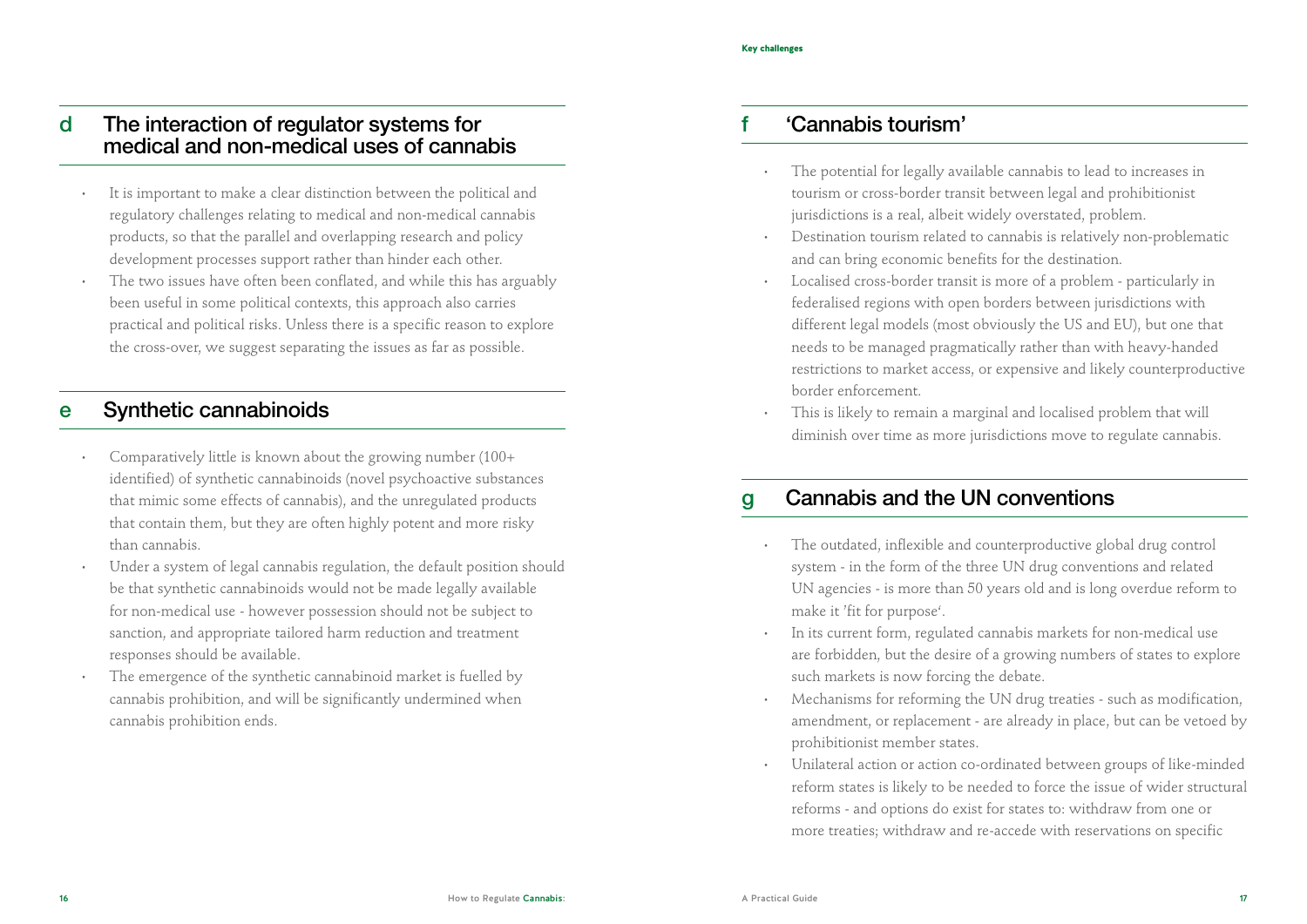#### d The interaction of regulator systems for medical and non-medical uses of cannabis

- It is important to make a clear distinction between the political and regulatory challenges relating to medical and non-medical cannabis products, so that the parallel and overlapping research and policy development processes support rather than hinder each other.
- The two issues have often been conflated, and while this has arguably been useful in some political contexts, this approach also carries practical and political risks. Unless there is a specific reason to explore the cross-over, we suggest separating the issues as far as possible.

#### e Synthetic cannabinoids

- Comparatively little is known about the growing number (100+ identified) of synthetic cannabinoids (novel psychoactive substances that mimic some effects of cannabis), and the unregulated products that contain them, but they are often highly potent and more risky than cannabis.
- Under a system of legal cannabis regulation, the default position should be that synthetic cannabinoids would not be made legally available for non-medical use - however possession should not be subject to sanction, and appropriate tailored harm reduction and treatment responses should be available.
- The emergence of the synthetic cannabinoid market is fuelled by cannabis prohibition, and will be significantly undermined when cannabis prohibition ends.

### f 'Cannabis tourism'

- The potential for legally available cannabis to lead to increases in tourism or cross-border transit between legal and prohibitionist jurisdictions is a real, albeit widely overstated, problem.
- Destination tourism related to cannabis is relatively non-problematic and can bring economic benefits for the destination.
- Localised cross-border transit is more of a problem particularly in federalised regions with open borders between jurisdictions with different legal models (most obviously the US and EU), but one that needs to be managed pragmatically rather than with heavy-handed restrictions to market access, or expensive and likely counterproductive border enforcement.
- This is likely to remain a marginal and localised problem that will diminish over time as more jurisdictions move to regulate cannabis.

## g Cannabis and the UN conventions

- The outdated, inflexible and counterproductive global drug control system - in the form of the three UN drug conventions and related UN agencies - is more than 50 years old and is long overdue reform to make it 'fit for purpose'.
- In its current form, regulated cannabis markets for non-medical use are forbidden, but the desire of a growing numbers of states to explore such markets is now forcing the debate.
- Mechanisms for reforming the UN drug treaties such as modification, amendment, or replacement - are already in place, but can be vetoed by prohibitionist member states.
- Unilateral action or action co-ordinated between groups of like-minded reform states is likely to be needed to force the issue of wider structural reforms - and options do exist for states to: withdraw from one or more treaties; withdraw and re-accede with reservations on specific